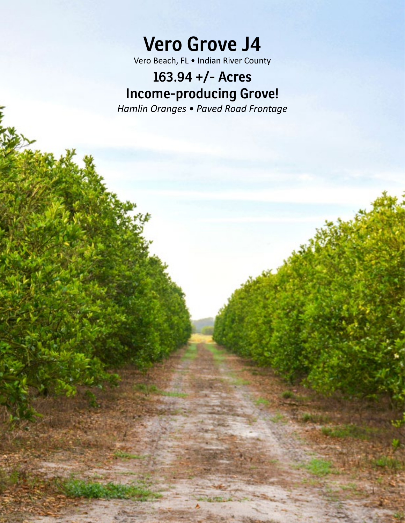**Vero Grove J4**

Vero Beach, FL • Indian River County

# **163.94 +/- Acres Income-producing Grove!**

*Hamlin Oranges • Paved Road Frontage*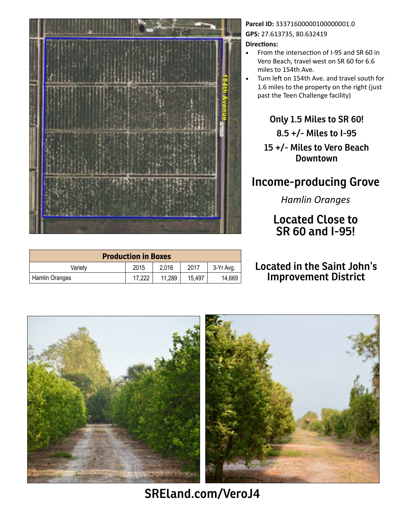

| <b>Production in Boxes</b> |        |        |        |           |
|----------------------------|--------|--------|--------|-----------|
| Varietv                    | 2015   | 2.016  | 2017   | 3-Yr Avg. |
| Hamlin Oranges             | 17,222 | 11,289 | 15.497 | 14,669    |

### Parcel ID: 333716000001000000001.0 **GPS:** 27.613735, 80.632419

#### **Directions:**

- From the intersection of I-95 and SR 60 in Vero Beach, travel west on SR 60 for 6.6 miles to 154th Ave.
- Turn left on 154th Ave. and travel south for 1.6 miles to the property on the right (just past the Teen Challenge facility)

**Only 1.5 Miles to SR 60!**

**8.5 +/- Miles to I-95**

**15 +/- Miles to Vero Beach Downtown**

## **Income-producing Grove**

*Hamlin Oranges*

**Located Close to SR 60 and I-95!**

### **Located in the Saint John's Improvement District**



**SREland.com[/Vero](http://SREland.com/VeroJ4)J4**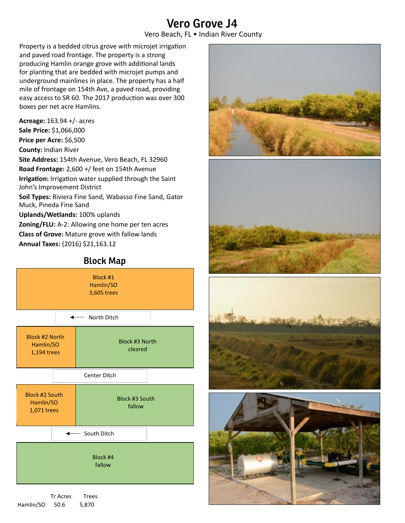# **Vero Grove J4**

Vero Beach, FL • Indian River County

Property is a bedded citrus grove with microjet irrigation and paved road frontage. The property is a strong producing Hamlin orange grove with additional lands for planting that are bedded with microjet pumps and underground mainlines in place. The property has a half mile of frontage on 154th Ave, a paved road, providing easy access to SR 60. The 2017 production was over 300 boxes per net acre Hamlins.

**Acreage:** 163.94 +/- acres **Sale Price:** \$1,066,000 **Price per Acre:** \$6,500 **County:** Indian River **Site Address:** 154th Avenue, Vero Beach, FL 32960 **Road Frontage:** 2,600 +/ feet on 154th Avenue **Irrigation:** Irrigation water supplied through the Saint John's Improvement District **Soil Types:** Riviera Fine Sand, Wabasso Fine Sand, Gator Muck, Pineda Fine Sand **Uplands/Wetlands:** 100% uplands **Zoning/FLU:** A-2: Allowing one home per ten acres **Class of Grove:** Mature grove with fallow lands **Annual Taxes:** (2016) \$21,163.12

### **Block Map**